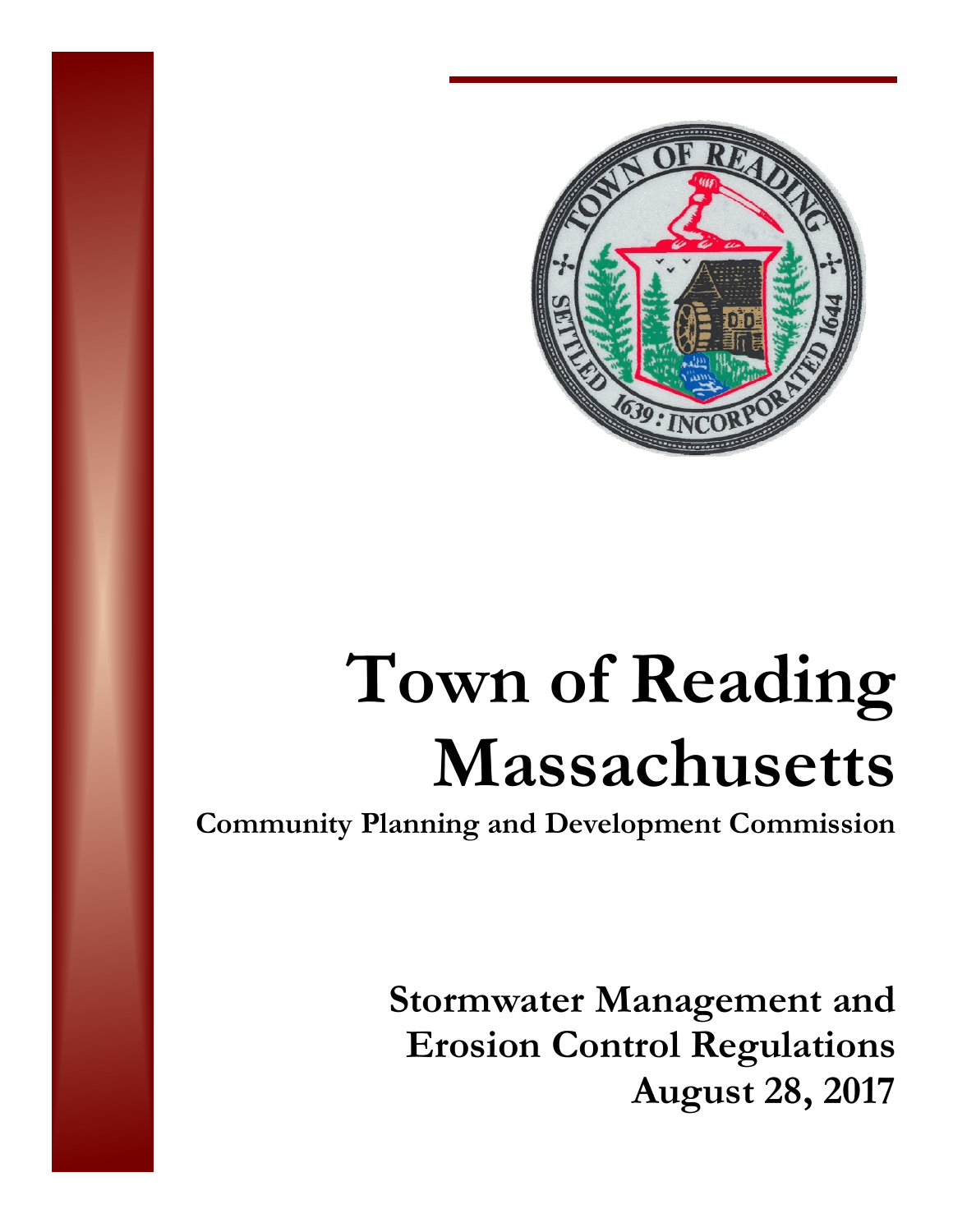

# **Town of Reading Massachusetts**

**Community Planning and Development Commission** 

**Stormwater Management and Erosion Control Regulations August 28, 2017**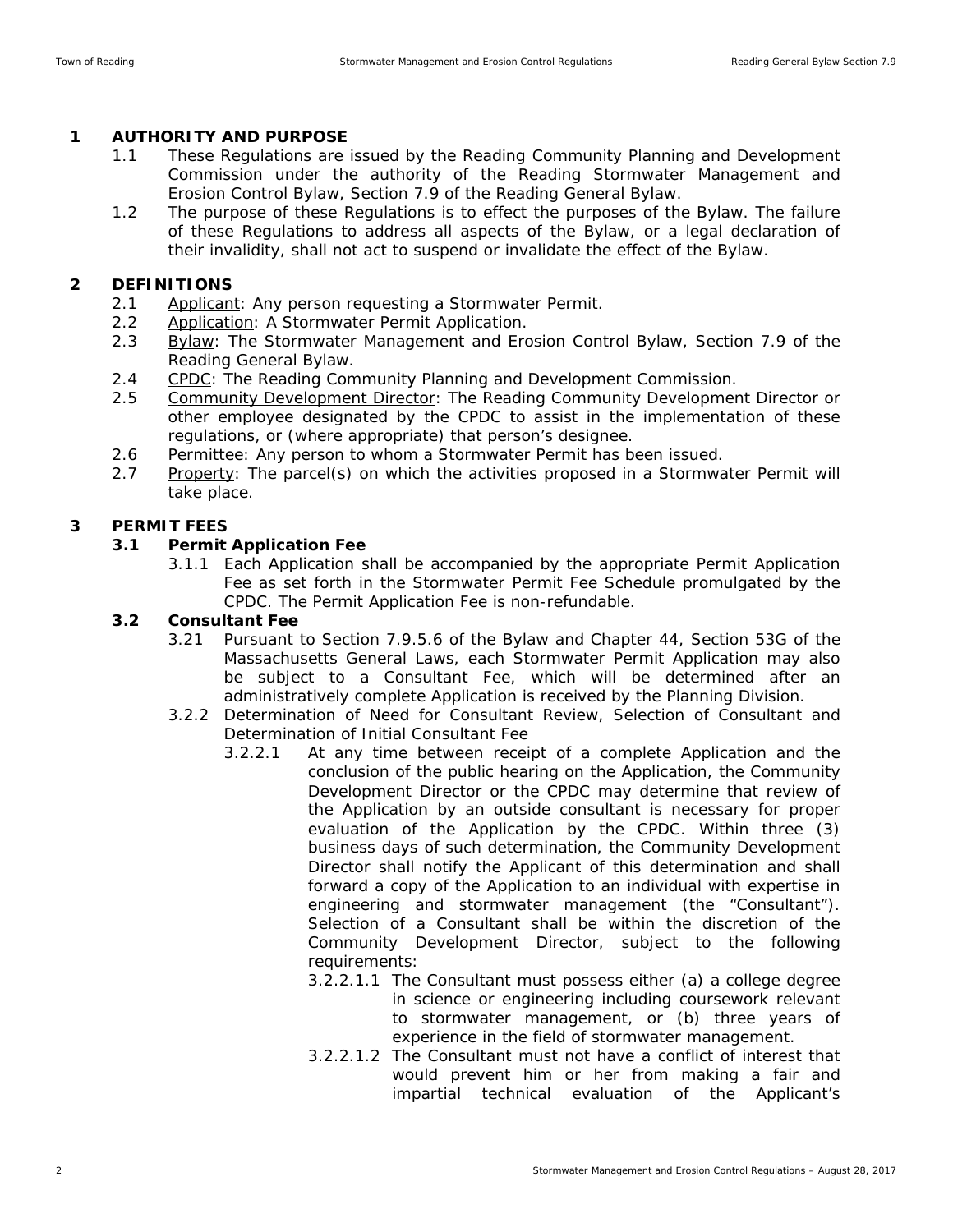## **1 AUTHORITY AND PURPOSE**

- 1.1 These Regulations are issued by the Reading Community Planning and Development Commission under the authority of the Reading Stormwater Management and Erosion Control Bylaw, Section 7.9 of the Reading General Bylaw.
- 1.2 The purpose of these Regulations is to effect the purposes of the Bylaw. The failure of these Regulations to address all aspects of the Bylaw, or a legal declaration of their invalidity, shall not act to suspend or invalidate the effect of the Bylaw.

## **2 DEFINITIONS**

- 2.1 Applicant: Any person requesting a Stormwater Permit.
- 2.2 Application: A Stormwater Permit Application.
- 2.3 Bylaw: The Stormwater Management and Erosion Control Bylaw, Section 7.9 of the Reading General Bylaw.
- 2.4 CPDC: The Reading Community Planning and Development Commission.
- 2.5 Community Development Director: The Reading Community Development Director or other employee designated by the CPDC to assist in the implementation of these regulations, or (where appropriate) that person's designee.
- 2.6 Permittee: Any person to whom a Stormwater Permit has been issued.
- 2.7 Property: The parcel(s) on which the activities proposed in a Stormwater Permit will take place.

## **3 PERMIT FEES**

## **3.1 Permit Application Fee**

3.1.1 Each Application shall be accompanied by the appropriate Permit Application Fee as set forth in the Stormwater Permit Fee Schedule promulgated by the CPDC. The Permit Application Fee is non-refundable.

## **3.2 Consultant Fee**

- 3.21 Pursuant to Section 7.9.5.6 of the Bylaw and Chapter 44, Section 53G of the Massachusetts General Laws, each Stormwater Permit Application may also be subject to a Consultant Fee, which will be determined after an administratively complete Application is received by the Planning Division.
- 3.2.2 Determination of Need for Consultant Review, Selection of Consultant and Determination of Initial Consultant Fee
	- 3.2.2.1 At any time between receipt of a complete Application and the conclusion of the public hearing on the Application, the Community Development Director or the CPDC may determine that review of the Application by an outside consultant is necessary for proper evaluation of the Application by the CPDC. Within three (3) business days of such determination, the Community Development Director shall notify the Applicant of this determination and shall forward a copy of the Application to an individual with expertise in engineering and stormwater management (the "Consultant"). Selection of a Consultant shall be within the discretion of the Community Development Director, subject to the following requirements:
		- 3.2.2.1.1 The Consultant must possess either (a) a college degree in science or engineering including coursework relevant to stormwater management, or (b) three years of experience in the field of stormwater management.
		- 3.2.2.1.2 The Consultant must not have a conflict of interest that would prevent him or her from making a fair and impartial technical evaluation of the Applicant's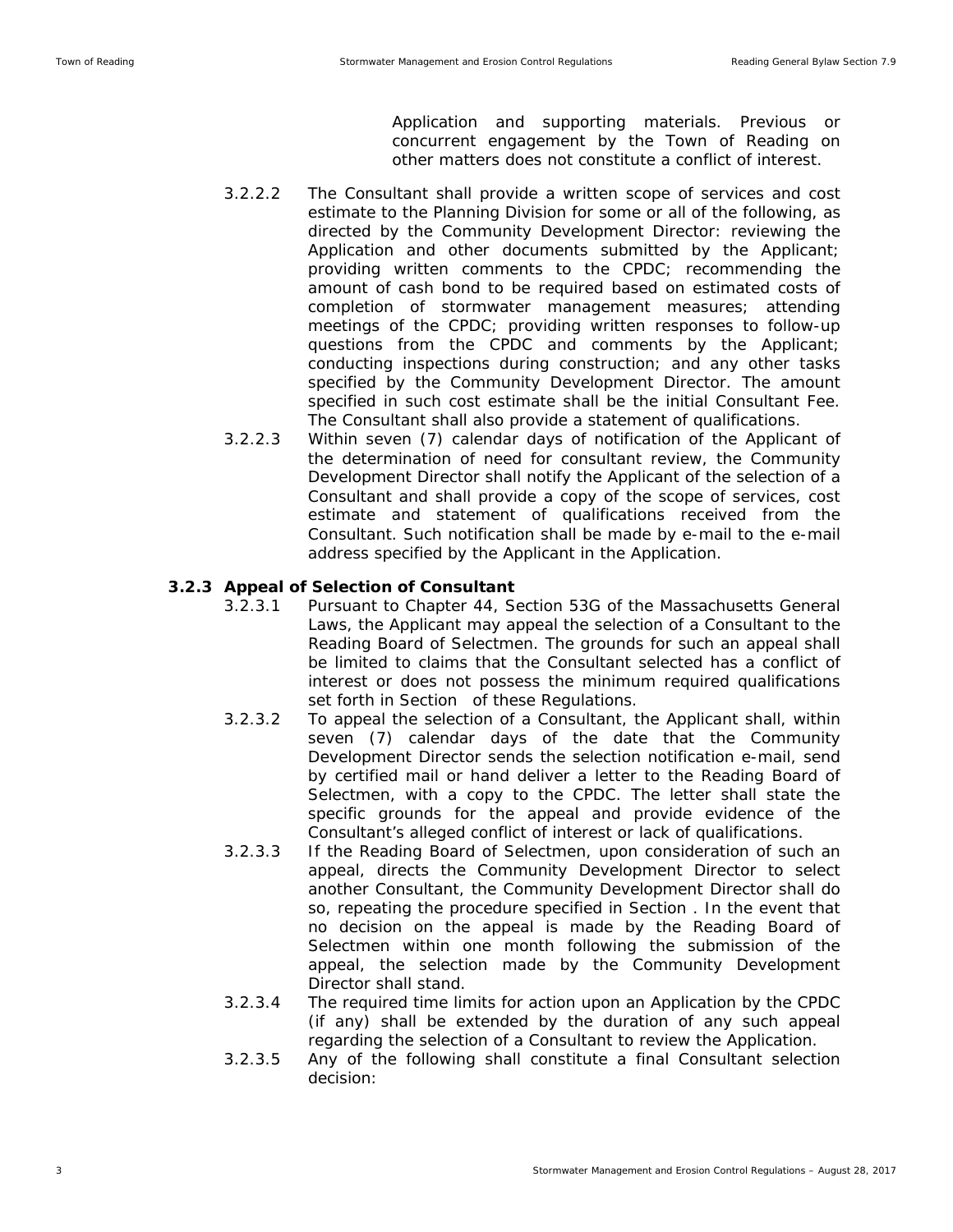Application and supporting materials. Previous or concurrent engagement by the Town of Reading on other matters does not constitute a conflict of interest.

- 3.2.2.2 The Consultant shall provide a written scope of services and cost estimate to the Planning Division for some or all of the following, as directed by the Community Development Director: reviewing the Application and other documents submitted by the Applicant; providing written comments to the CPDC; recommending the amount of cash bond to be required based on estimated costs of completion of stormwater management measures; attending meetings of the CPDC; providing written responses to follow-up questions from the CPDC and comments by the Applicant; conducting inspections during construction; and any other tasks specified by the Community Development Director. The amount specified in such cost estimate shall be the initial Consultant Fee. The Consultant shall also provide a statement of qualifications.
- 3.2.2.3 Within seven (7) calendar days of notification of the Applicant of the determination of need for consultant review, the Community Development Director shall notify the Applicant of the selection of a Consultant and shall provide a copy of the scope of services, cost estimate and statement of qualifications received from the Consultant. Such notification shall be made by e-mail to the e-mail address specified by the Applicant in the Application.

### **3.2.3 Appeal of Selection of Consultant**

- 3.2.3.1 Pursuant to Chapter 44, Section 53G of the Massachusetts General Laws, the Applicant may appeal the selection of a Consultant to the Reading Board of Selectmen. The grounds for such an appeal shall be limited to claims that the Consultant selected has a conflict of interest or does not possess the minimum required qualifications set forth in Section of these Regulations.
- 3.2.3.2 To appeal the selection of a Consultant, the Applicant shall, within seven (7) calendar days of the date that the Community Development Director sends the selection notification e-mail, send by certified mail or hand deliver a letter to the Reading Board of Selectmen, with a copy to the CPDC. The letter shall state the specific grounds for the appeal and provide evidence of the Consultant's alleged conflict of interest or lack of qualifications.
- 3.2.3.3 If the Reading Board of Selectmen, upon consideration of such an appeal, directs the Community Development Director to select another Consultant, the Community Development Director shall do so, repeating the procedure specified in Section . In the event that no decision on the appeal is made by the Reading Board of Selectmen within one month following the submission of the appeal, the selection made by the Community Development Director shall stand.
- 3.2.3.4 The required time limits for action upon an Application by the CPDC (if any) shall be extended by the duration of any such appeal regarding the selection of a Consultant to review the Application.
- 3.2.3.5 Any of the following shall constitute a final Consultant selection decision: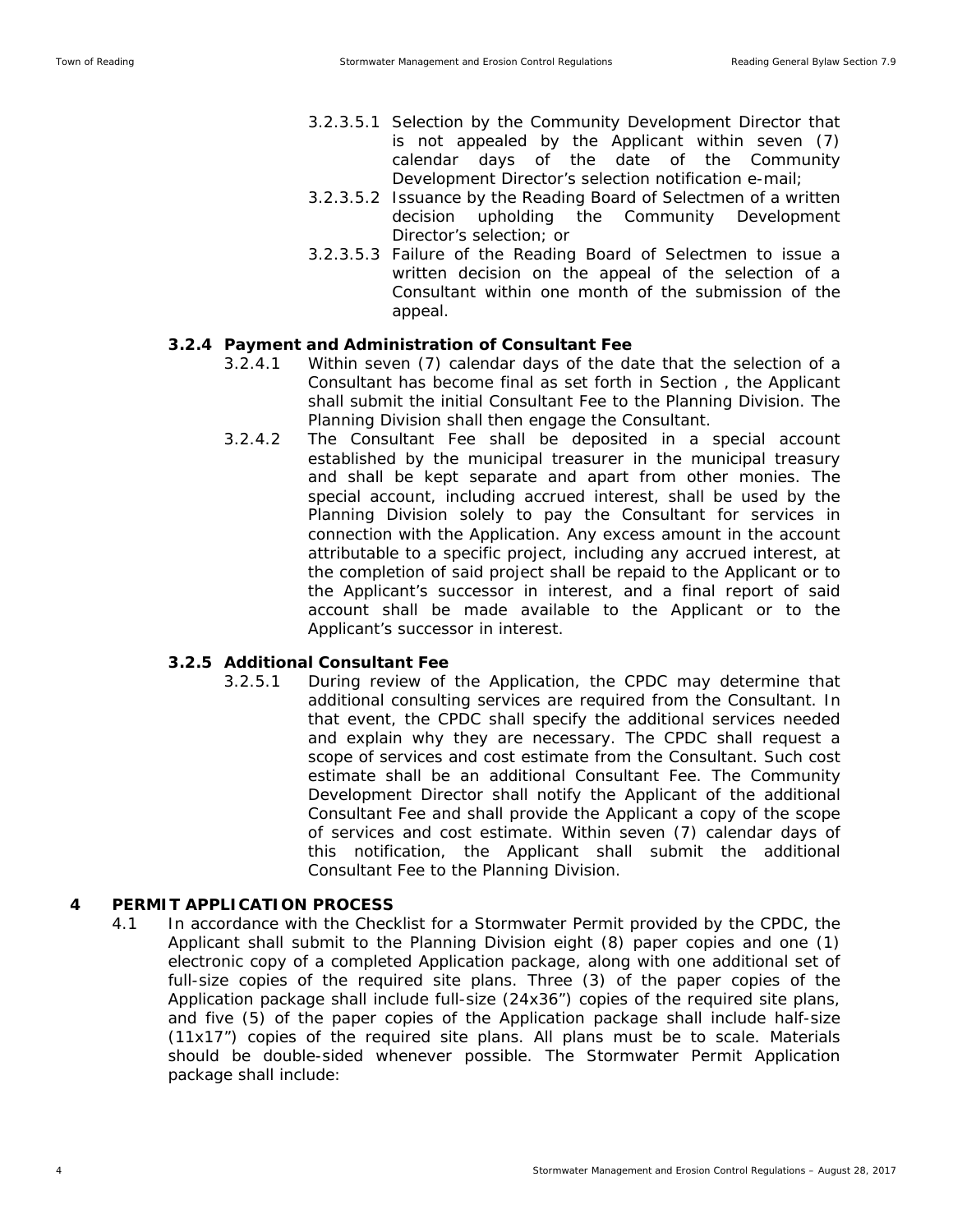- 3.2.3.5.1 Selection by the Community Development Director that is not appealed by the Applicant within seven (7) calendar days of the date of the Community Development Director's selection notification e-mail;
- 3.2.3.5.2 Issuance by the Reading Board of Selectmen of a written decision upholding the Community Development Director's selection; or
- 3.2.3.5.3 Failure of the Reading Board of Selectmen to issue a written decision on the appeal of the selection of a Consultant within one month of the submission of the appeal.

#### **3.2.4 Payment and Administration of Consultant Fee**

- 3.2.4.1 Within seven (7) calendar days of the date that the selection of a Consultant has become final as set forth in Section , the Applicant shall submit the initial Consultant Fee to the Planning Division. The Planning Division shall then engage the Consultant.
- 3.2.4.2 The Consultant Fee shall be deposited in a special account established by the municipal treasurer in the municipal treasury and shall be kept separate and apart from other monies. The special account, including accrued interest, shall be used by the Planning Division solely to pay the Consultant for services in connection with the Application. Any excess amount in the account attributable to a specific project, including any accrued interest, at the completion of said project shall be repaid to the Applicant or to the Applicant's successor in interest, and a final report of said account shall be made available to the Applicant or to the Applicant's successor in interest.

#### **3.2.5 Additional Consultant Fee**

3.2.5.1 During review of the Application, the CPDC may determine that additional consulting services are required from the Consultant. In that event, the CPDC shall specify the additional services needed and explain why they are necessary. The CPDC shall request a scope of services and cost estimate from the Consultant. Such cost estimate shall be an additional Consultant Fee. The Community Development Director shall notify the Applicant of the additional Consultant Fee and shall provide the Applicant a copy of the scope of services and cost estimate. Within seven (7) calendar days of this notification, the Applicant shall submit the additional Consultant Fee to the Planning Division.

#### **4 PERMIT APPLICATION PROCESS**

4.1 In accordance with the Checklist for a Stormwater Permit provided by the CPDC, the Applicant shall submit to the Planning Division eight (8) paper copies and one (1) electronic copy of a completed Application package, along with one additional set of full-size copies of the required site plans. Three (3) of the paper copies of the Application package shall include full-size (24x36") copies of the required site plans, and five (5) of the paper copies of the Application package shall include half-size (11x17") copies of the required site plans. All plans must be to scale. Materials should be double-sided whenever possible. The Stormwater Permit Application package shall include: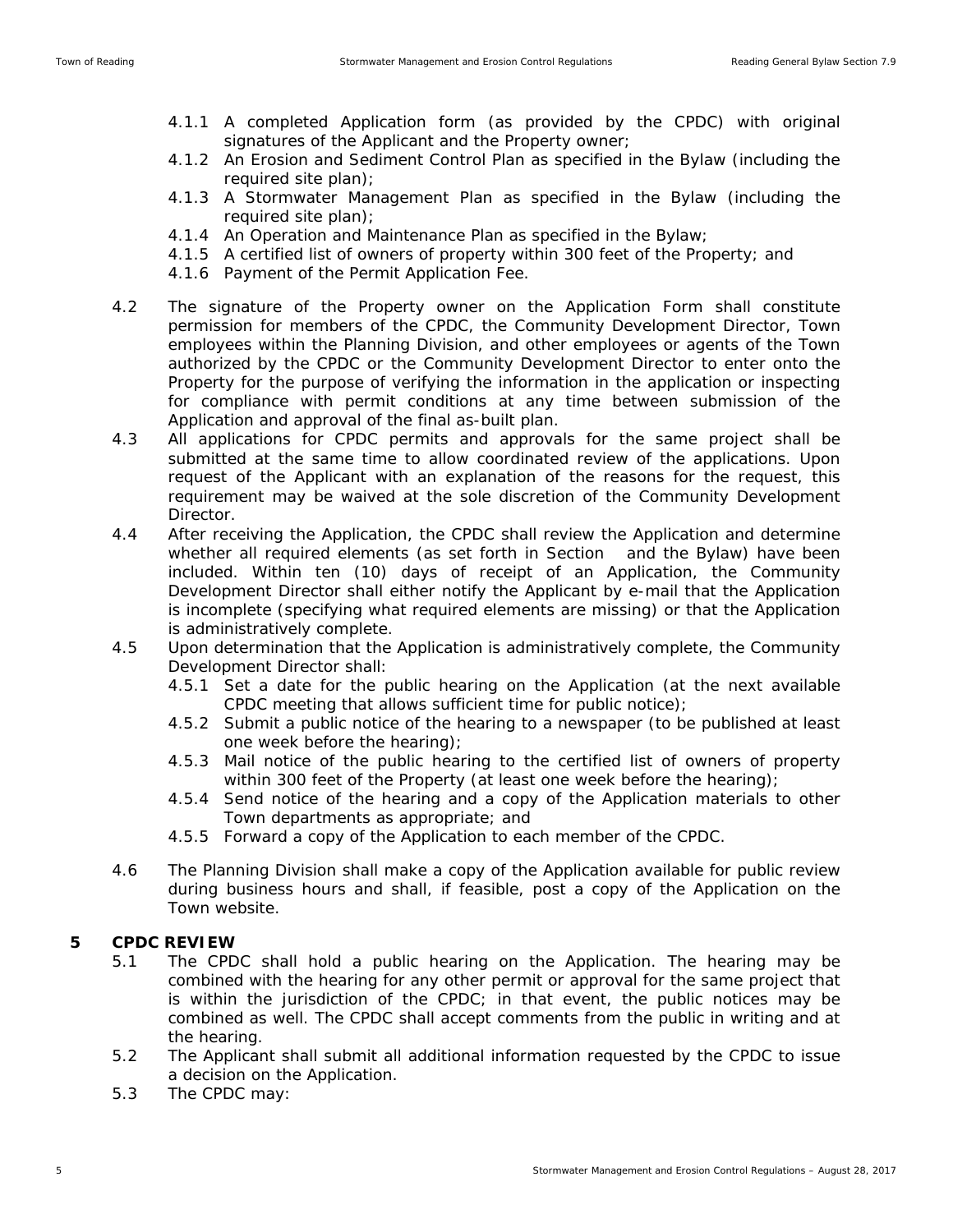- 4.1.1 A completed Application form (as provided by the CPDC) with original signatures of the Applicant and the Property owner;
- 4.1.2 An Erosion and Sediment Control Plan as specified in the Bylaw (including the required site plan);
- 4.1.3 A Stormwater Management Plan as specified in the Bylaw (including the required site plan);
- 4.1.4 An Operation and Maintenance Plan as specified in the Bylaw;
- 4.1.5 A certified list of owners of property within 300 feet of the Property; and
- 4.1.6 Payment of the Permit Application Fee.
- 4.2 The signature of the Property owner on the Application Form shall constitute permission for members of the CPDC, the Community Development Director, Town employees within the Planning Division, and other employees or agents of the Town authorized by the CPDC or the Community Development Director to enter onto the Property for the purpose of verifying the information in the application or inspecting for compliance with permit conditions at any time between submission of the Application and approval of the final as-built plan.
- 4.3 All applications for CPDC permits and approvals for the same project shall be submitted at the same time to allow coordinated review of the applications. Upon request of the Applicant with an explanation of the reasons for the request, this requirement may be waived at the sole discretion of the Community Development Director.
- 4.4 After receiving the Application, the CPDC shall review the Application and determine whether all required elements (as set forth in Section and the Bylaw) have been included. Within ten (10) days of receipt of an Application, the Community Development Director shall either notify the Applicant by e-mail that the Application is incomplete (specifying what required elements are missing) or that the Application is administratively complete.
- 4.5 Upon determination that the Application is administratively complete, the Community Development Director shall:
	- 4.5.1 Set a date for the public hearing on the Application (at the next available CPDC meeting that allows sufficient time for public notice);
	- 4.5.2 Submit a public notice of the hearing to a newspaper (to be published at least one week before the hearing);
	- 4.5.3 Mail notice of the public hearing to the certified list of owners of property within 300 feet of the Property (at least one week before the hearing);
	- 4.5.4 Send notice of the hearing and a copy of the Application materials to other Town departments as appropriate; and
	- 4.5.5 Forward a copy of the Application to each member of the CPDC.
- 4.6 The Planning Division shall make a copy of the Application available for public review during business hours and shall, if feasible, post a copy of the Application on the Town website.

# **5 CPDC REVIEW**

- 5.1 The CPDC shall hold a public hearing on the Application. The hearing may be combined with the hearing for any other permit or approval for the same project that is within the jurisdiction of the CPDC; in that event, the public notices may be combined as well. The CPDC shall accept comments from the public in writing and at the hearing.
- 5.2 The Applicant shall submit all additional information requested by the CPDC to issue a decision on the Application.
- 5.3 The CPDC may: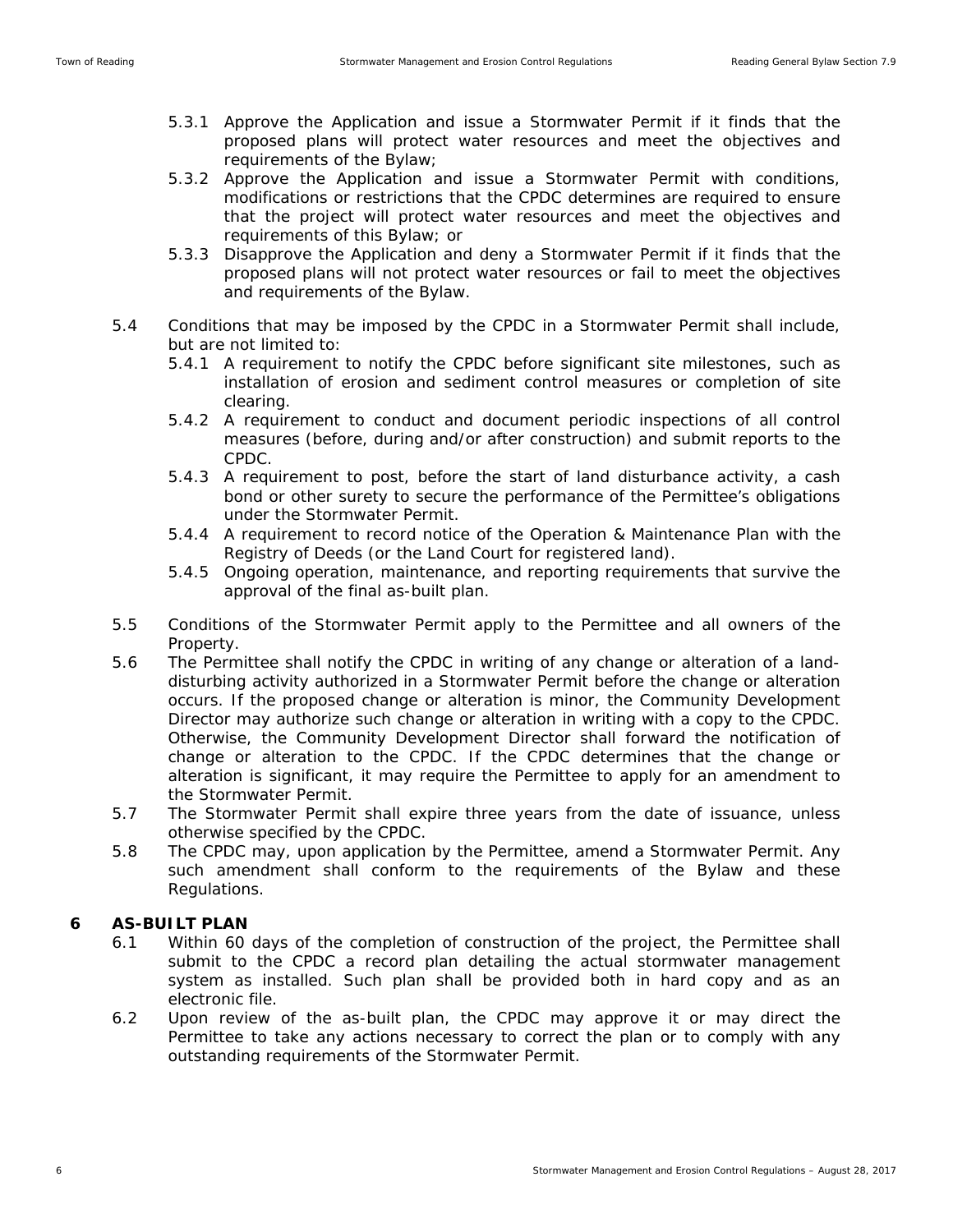- 5.3.1 Approve the Application and issue a Stormwater Permit if it finds that the proposed plans will protect water resources and meet the objectives and requirements of the Bylaw;
- 5.3.2 Approve the Application and issue a Stormwater Permit with conditions, modifications or restrictions that the CPDC determines are required to ensure that the project will protect water resources and meet the objectives and requirements of this Bylaw; or
- 5.3.3 Disapprove the Application and deny a Stormwater Permit if it finds that the proposed plans will not protect water resources or fail to meet the objectives and requirements of the Bylaw.
- 5.4 Conditions that may be imposed by the CPDC in a Stormwater Permit shall include, but are not limited to:
	- 5.4.1 A requirement to notify the CPDC before significant site milestones, such as installation of erosion and sediment control measures or completion of site clearing.
	- 5.4.2 A requirement to conduct and document periodic inspections of all control measures (before, during and/or after construction) and submit reports to the CPDC.
	- 5.4.3 A requirement to post, before the start of land disturbance activity, a cash bond or other surety to secure the performance of the Permittee's obligations under the Stormwater Permit.
	- 5.4.4 A requirement to record notice of the Operation & Maintenance Plan with the Registry of Deeds (or the Land Court for registered land).
	- 5.4.5 Ongoing operation, maintenance, and reporting requirements that survive the approval of the final as-built plan.
- 5.5 Conditions of the Stormwater Permit apply to the Permittee and all owners of the Property.
- 5.6 The Permittee shall notify the CPDC in writing of any change or alteration of a landdisturbing activity authorized in a Stormwater Permit before the change or alteration occurs. If the proposed change or alteration is minor, the Community Development Director may authorize such change or alteration in writing with a copy to the CPDC. Otherwise, the Community Development Director shall forward the notification of change or alteration to the CPDC. If the CPDC determines that the change or alteration is significant, it may require the Permittee to apply for an amendment to the Stormwater Permit.
- 5.7 The Stormwater Permit shall expire three years from the date of issuance, unless otherwise specified by the CPDC.
- 5.8 The CPDC may, upon application by the Permittee, amend a Stormwater Permit. Any such amendment shall conform to the requirements of the Bylaw and these Regulations.

# **6 AS-BUILT PLAN**

- 6.1 Within 60 days of the completion of construction of the project, the Permittee shall submit to the CPDC a record plan detailing the actual stormwater management system as installed. Such plan shall be provided both in hard copy and as an electronic file.
- 6.2 Upon review of the as-built plan, the CPDC may approve it or may direct the Permittee to take any actions necessary to correct the plan or to comply with any outstanding requirements of the Stormwater Permit.